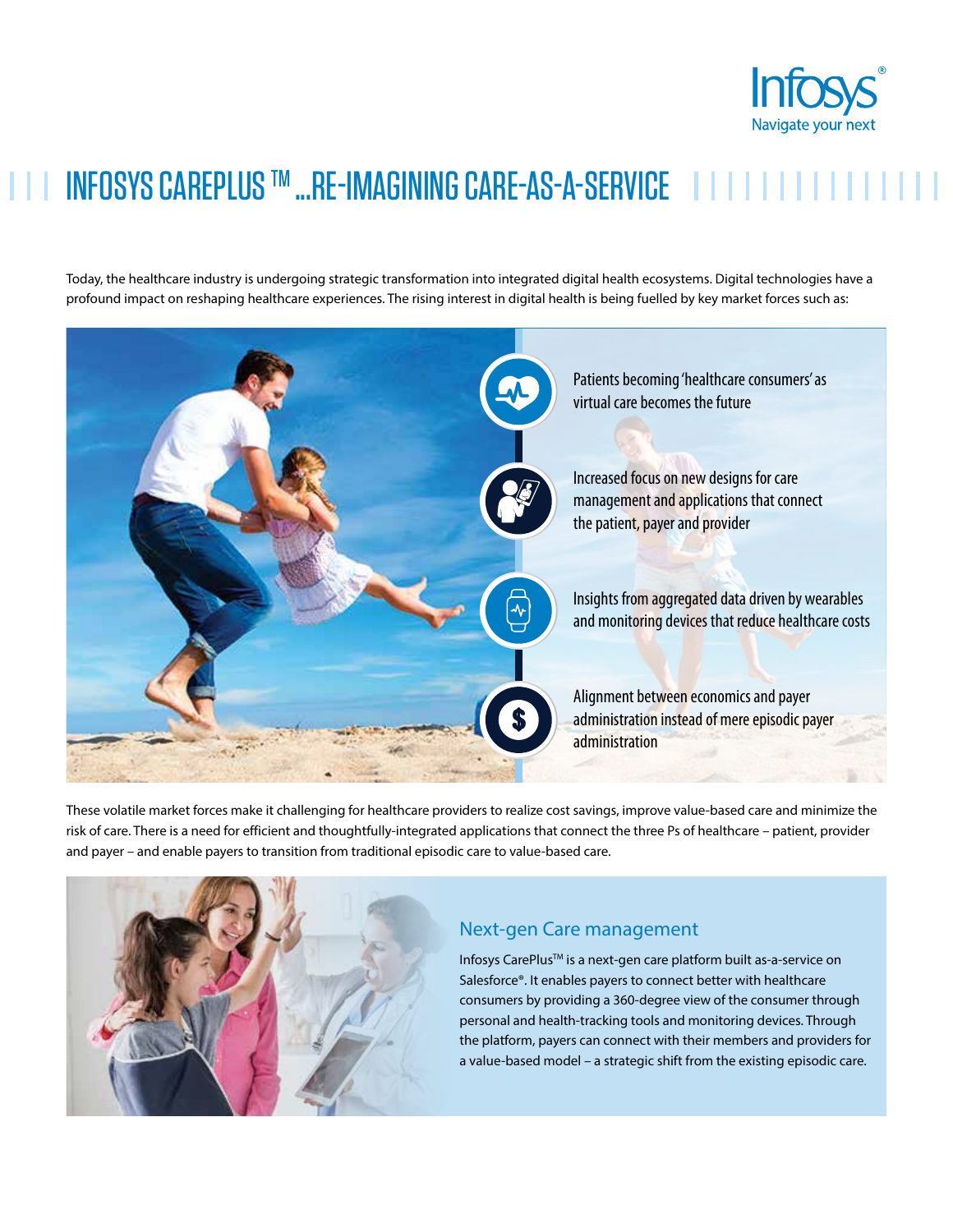

## INFOSYS CAREPLUS™ ...RE-IMAGINING CARE-AS-A-SERVICE | | |

Today, the healthcare industry is undergoing strategic transformation into integrated digital health ecosystems. Digital technologies have a profound impact on reshaping healthcare experiences. The rising interest in digital health is being fuelled by key market forces such as:



These volatile market forces make it challenging for healthcare providers to realize cost savings, improve value-based care and minimize the risk of care. There is a need for efficient and thoughtfully-integrated applications that connect the three Ps of healthcare – patient, provider and payer – and enable payers to transition from traditional episodic care to value-based care.



## Next-gen Care management

Infosys CarePlusTM is a next-gen care platform built as-a-service on Salesforce®. It enables payers to connect better with healthcare consumers by providing a 360-degree view of the consumer through personal and health-tracking tools and monitoring devices. Through the platform, payers can connect with their members and providers for a value-based model – a strategic shift from the existing episodic care.